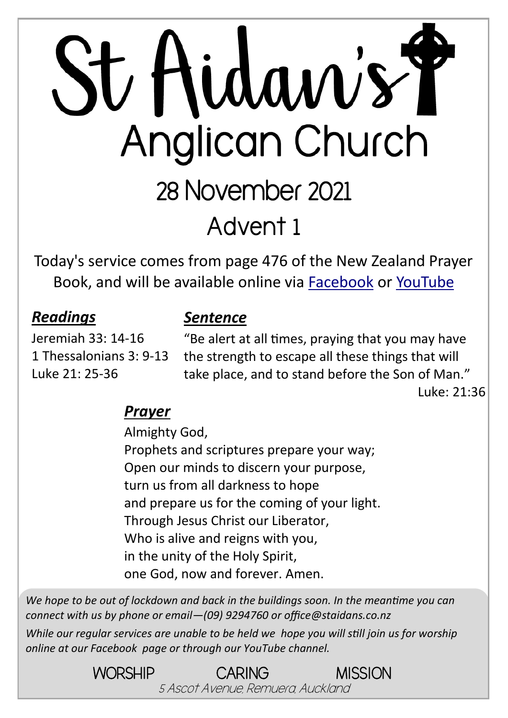# St Aidan's Y Anglican Church 28 November 2021 **Advent 1**

Today's service comes from page 476 of the New Zealand Prayer Book, and will be available online via [Facebook](https://www.facebook.com/StAidansRemuera/) or [YouTube](https://www.youtube.com/channel/UCp1KTUD3GRs20GGAFeAZ7fQ)

#### *Readings*

#### *Sentence*

Jeremiah 33: 14-16 1 Thessalonians 3: 9-13 Luke 21: 25-36

"Be alert at all times, praying that you may have the strength to escape all these things that will take place, and to stand before the Son of Man."

Luke: 21:36

#### *Prayer*

Almighty God, Prophets and scriptures prepare your way; Open our minds to discern your purpose, turn us from all darkness to hope and prepare us for the coming of your light. Through Jesus Christ our Liberator, Who is alive and reigns with you, in the unity of the Holy Spirit, one God, now and forever. Amen.

*We hope to be out of lockdown and back in the buildings soon. In the meantime you can connect with us by phone or email—(09) 9294760 or office@staidans.co.nz*

*While our regular services are unable to be held we hope you will still join us for worship online at our Facebook page or through our YouTube channel.*

> WORSHIP CARING MISSION 5 Ascot Avenue, Remuera, Auckland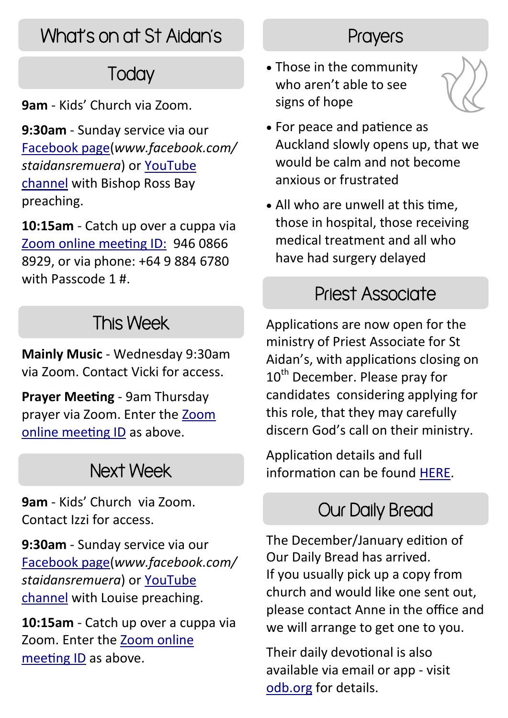# What's on at St Aidan's

# **Today**

**9am** - Kids' Church via Zoom.

**9:30am** - Sunday service via our [Facebook page\(](https://www.facebook.com/StAidansRemuera/)*www.facebook.com/ staidansremuera*) or [YouTube](https://www.youtube.com/channel/UCp1KTUD3GRs20GGAFeAZ7fQ)  [channel](https://www.youtube.com/channel/UCp1KTUD3GRs20GGAFeAZ7fQ) with Bishop Ross Bay preaching.

**10:15am** - Catch up over a cuppa via [Zoom online meeting ID:](https://zoom.us/j/94608668929?pwd=TkZLeU1MY2d5eUpqeTJ5WUJTRHlVUT09) 946 0866 8929, or via phone: +64 9 884 6780 with Passcode 1 #.

# This Week

**Mainly Music** - Wednesday 9:30am via Zoom. Contact Vicki for access.

**Prayer Meeting** - 9am Thursday prayer via Zoom. Enter the [Zoom](https://zoom.us/j/94608668929?pwd=TkZLeU1MY2d5eUpqeTJ5WUJTRHlVUT09)  [online meeting ID](https://zoom.us/j/94608668929?pwd=TkZLeU1MY2d5eUpqeTJ5WUJTRHlVUT09) as above.

# Next Week

**9am** - Kids' Church via Zoom. Contact Izzi for access.

**9:30am** - Sunday service via our [Facebook page\(](https://www.facebook.com/StAidansRemuera/)*www.facebook.com/ staidansremuera*) or [YouTube](https://www.youtube.com/channel/UCp1KTUD3GRs20GGAFeAZ7fQ)  [channel](https://www.youtube.com/channel/UCp1KTUD3GRs20GGAFeAZ7fQ) with Louise preaching.

**10:15am** - Catch up over a cuppa via Zoom. Enter the [Zoom online](https://zoom.us/j/94608668929?pwd=TkZLeU1MY2d5eUpqeTJ5WUJTRHlVUT09)  [meeting ID](https://zoom.us/j/94608668929?pwd=TkZLeU1MY2d5eUpqeTJ5WUJTRHlVUT09) as above.

#### **Prayers**

• Those in the community who aren't able to see signs of hope



- For peace and patience as Auckland slowly opens up, that we would be calm and not become anxious or frustrated
- All who are unwell at this time, those in hospital, those receiving medical treatment and all who have had surgery delayed

#### Priest Associate

Applications are now open for the ministry of Priest Associate for St Aidan's, with applications closing on 10<sup>th</sup> December. Please pray for candidates considering applying for this role, that they may carefully discern God's call on their ministry.

Application details and full information can be found [HERE.](https://aucklandanglican.org.nz/ministry-opportunities/priest-associate-st-aidans-remuera/)

### Our Daily Bread

The December/January edition of Our Daily Bread has arrived. If you usually pick up a copy from church and would like one sent out, please contact Anne in the office and we will arrange to get one to you.

Their daily devotional is also available via email or app - visit [odb.org](https://odb.org/subscription/nz/) for details.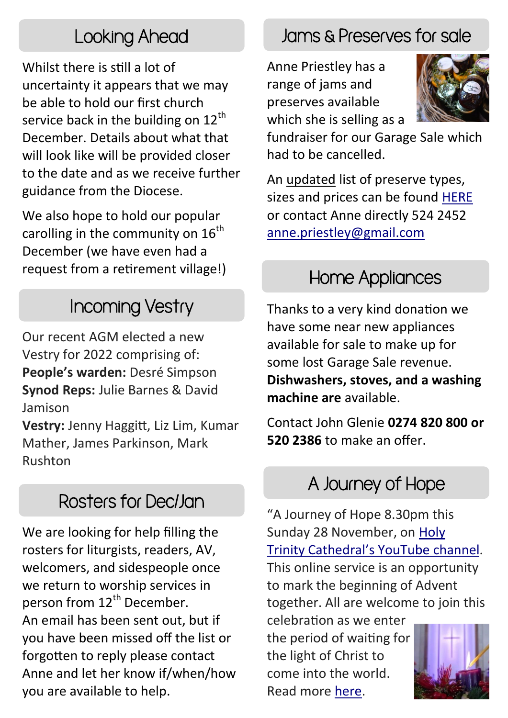# Looking Ahead

Whilst there is still a lot of uncertainty it appears that we may be able to hold our first church service back in the building on  $12<sup>th</sup>$ December. Details about what that will look like will be provided closer to the date and as we receive further guidance from the Diocese.

We also hope to hold our popular carolling in the community on  $16<sup>th</sup>$ December (we have even had a request from a retirement village!)

Our recent AGM elected a new Vestry for 2022 comprising of: **People's warden:** Desré Simpson **Synod Reps:** Julie Barnes & David Jamison

**Vestry:** Jenny Haggitt, Liz Lim, Kumar Mather, James Parkinson, Mark Rushton

### Rosters for Dec/Jan

We are looking for help filling the rosters for liturgists, readers, AV, welcomers, and sidespeople once we return to worship services in person from 12<sup>th</sup> December. An email has been sent out, but if you have been missed off the list or forgotten to reply please contact Anne and let her know if/when/how you are available to help.

# Jams & Preserves for sale

Anne Priestley has a range of jams and preserves available which she is selling as a



fundraiser for our Garage Sale which had to be cancelled.

An updated list of preserve types, sizes and prices can be found [HERE](https://www.staidans.co.nz/wp-content/uploads/2021/11/Preserves-Nov-2021.pdf) or contact Anne directly 524 2452 [anne.priestley@gmail.com](mailto:anne.priestley@gmail.com?subject=Preserves)

### Home Appliances

Incoming Vestry Thanks to a very kind donation we have some near new appliances available for sale to make up for some lost Garage Sale revenue. **Dishwashers, stoves, and a washing machine are** available.

> Contact John Glenie **0274 820 800 or 520 2386** to make an offer.

### A Journey of Hope

"A Journey of Hope 8.30pm this Sunday 28 November, on [Holy](https://auckanglican.us13.list-manage.com/track/click?u=cc3de34ff9daeae0babfb3755&id=09dad62567&e=97b758f57d)  Trinity Cathedral'[s YouTube channel.](https://auckanglican.us13.list-manage.com/track/click?u=cc3de34ff9daeae0babfb3755&id=09dad62567&e=97b758f57d) This online service is an opportunity to mark the beginning of Advent together. All are welcome to join this

celebration as we enter the period of waiting for the light of Christ to come into the world. Read more [here.](https://auckanglican.us13.list-manage.com/track/click?u=cc3de34ff9daeae0babfb3755&id=2de7ba2563&e=97b758f57d)